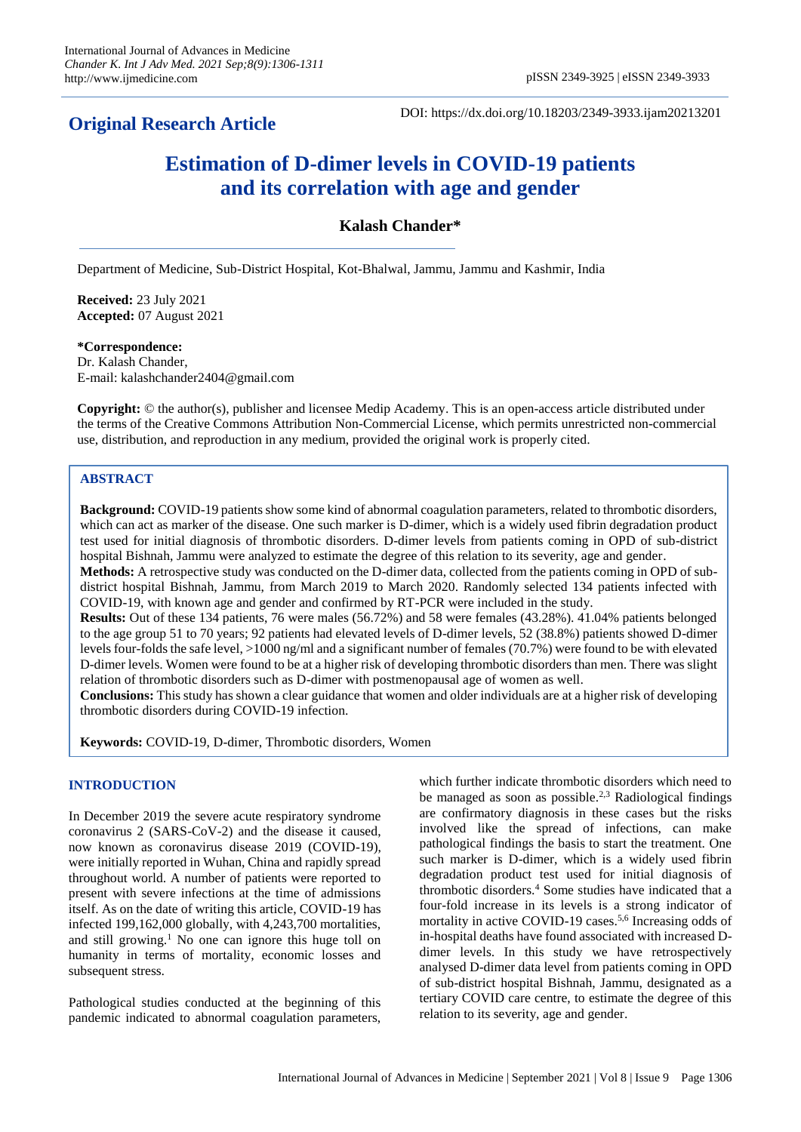## **Original Research Article**

DOI: https://dx.doi.org/10.18203/2349-3933.ijam20213201

# **Estimation of D-dimer levels in COVID-19 patients and its correlation with age and gender**

## **Kalash Chander\***

Department of Medicine, Sub-District Hospital, Kot-Bhalwal, Jammu, Jammu and Kashmir, India

**Received:** 23 July 2021 **Accepted:** 07 August 2021

**\*Correspondence:**

Dr. Kalash Chander, E-mail: kalashchander2404@gmail.com

**Copyright:** © the author(s), publisher and licensee Medip Academy. This is an open-access article distributed under the terms of the Creative Commons Attribution Non-Commercial License, which permits unrestricted non-commercial use, distribution, and reproduction in any medium, provided the original work is properly cited.

#### **ABSTRACT**

**Background:** COVID-19 patients show some kind of abnormal coagulation parameters, related to thrombotic disorders, which can act as marker of the disease. One such marker is D-dimer, which is a widely used fibrin degradation product test used for initial diagnosis of thrombotic disorders. D-dimer levels from patients coming in OPD of sub-district hospital Bishnah, Jammu were analyzed to estimate the degree of this relation to its severity, age and gender.

**Methods:** A retrospective study was conducted on the D-dimer data, collected from the patients coming in OPD of subdistrict hospital Bishnah, Jammu, from March 2019 to March 2020. Randomly selected 134 patients infected with COVID-19, with known age and gender and confirmed by RT-PCR were included in the study.

**Results:** Out of these 134 patients, 76 were males (56.72%) and 58 were females (43.28%). 41.04% patients belonged to the age group 51 to 70 years; 92 patients had elevated levels of D-dimer levels, 52 (38.8%) patients showed D-dimer levels four-folds the safe level, >1000 ng/ml and a significant number of females (70.7%) were found to be with elevated D-dimer levels. Women were found to be at a higher risk of developing thrombotic disorders than men. There was slight relation of thrombotic disorders such as D-dimer with postmenopausal age of women as well.

**Conclusions:** This study has shown a clear guidance that women and older individuals are at a higher risk of developing thrombotic disorders during COVID-19 infection.

**Keywords:** COVID-19, D-dimer, Thrombotic disorders, Women

## **INTRODUCTION**

In December 2019 the severe acute respiratory syndrome coronavirus 2 (SARS-CoV-2) and the disease it caused, now known as coronavirus disease 2019 (COVID-19), were initially reported in Wuhan, China and rapidly spread throughout world. A number of patients were reported to present with severe infections at the time of admissions itself. As on the date of writing this article, COVID-19 has infected 199,162,000 globally, with 4,243,700 mortalities, and still growing.<sup>1</sup> No one can ignore this huge toll on humanity in terms of mortality, economic losses and subsequent stress.

Pathological studies conducted at the beginning of this pandemic indicated to abnormal coagulation parameters, which further indicate thrombotic disorders which need to be managed as soon as possible.<sup>2,3</sup> Radiological findings are confirmatory diagnosis in these cases but the risks involved like the spread of infections, can make pathological findings the basis to start the treatment. One such marker is D-dimer, which is a widely used fibrin degradation product test used for initial diagnosis of thrombotic disorders.<sup>4</sup> Some studies have indicated that a four-fold increase in its levels is a strong indicator of mortality in active COVID-19 cases.<sup>5,6</sup> Increasing odds of in-hospital deaths have found associated with increased Ddimer levels. In this study we have retrospectively analysed D-dimer data level from patients coming in OPD of sub-district hospital Bishnah, Jammu, designated as a tertiary COVID care centre, to estimate the degree of this relation to its severity, age and gender.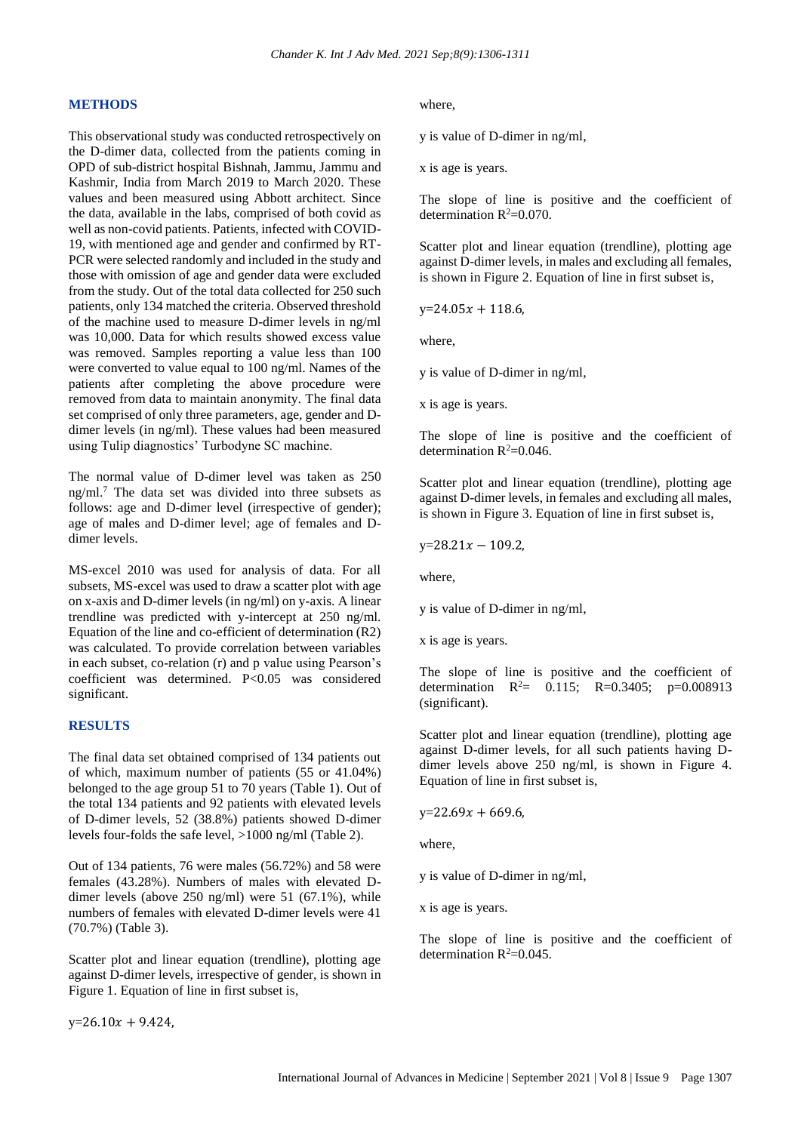#### **METHODS**

This observational study was conducted retrospectively on the D-dimer data, collected from the patients coming in OPD of sub-district hospital Bishnah, Jammu, Jammu and Kashmir, India from March 2019 to March 2020. These values and been measured using Abbott architect. Since the data, available in the labs, comprised of both covid as well as non-covid patients. Patients, infected with COVID-19, with mentioned age and gender and confirmed by RT-PCR were selected randomly and included in the study and those with omission of age and gender data were excluded from the study. Out of the total data collected for 250 such patients, only 134 matched the criteria. Observed threshold of the machine used to measure D-dimer levels in ng/ml was 10,000. Data for which results showed excess value was removed. Samples reporting a value less than 100 were converted to value equal to 100 ng/ml. Names of the patients after completing the above procedure were removed from data to maintain anonymity. The final data set comprised of only three parameters, age, gender and Ddimer levels (in ng/ml). These values had been measured using Tulip diagnostics' Turbodyne SC machine.

The normal value of D-dimer level was taken as 250 ng/ml.<sup>7</sup> The data set was divided into three subsets as follows: age and D-dimer level (irrespective of gender); age of males and D-dimer level; age of females and Ddimer levels.

MS-excel 2010 was used for analysis of data. For all subsets, MS-excel was used to draw a scatter plot with age on x-axis and D-dimer levels (in ng/ml) on y-axis. A linear trendline was predicted with y-intercept at 250 ng/ml. Equation of the line and co-efficient of determination (R2) was calculated. To provide correlation between variables in each subset, co-relation (r) and p value using Pearson's coefficient was determined. P<0.05 was considered significant.

#### **RESULTS**

The final data set obtained comprised of 134 patients out of which, maximum number of patients (55 or 41.04%) belonged to the age group 51 to 70 years (Table 1). Out of the total 134 patients and 92 patients with elevated levels of D-dimer levels, 52 (38.8%) patients showed D-dimer levels four-folds the safe level, >1000 ng/ml (Table 2).

Out of 134 patients, 76 were males (56.72%) and 58 were females (43.28%). Numbers of males with elevated Ddimer levels (above 250 ng/ml) were 51 (67.1%), while numbers of females with elevated D-dimer levels were 41 (70.7%) (Table 3).

Scatter plot and linear equation (trendline), plotting age against D-dimer levels, irrespective of gender, is shown in Figure 1. Equation of line in first subset is,

 $y=26.10x + 9.424$ 

where,

y is value of D-dimer in ng/ml,

x is age is years.

The slope of line is positive and the coefficient of determination  $R^2=0.070$ .

Scatter plot and linear equation (trendline), plotting age against D-dimer levels, in males and excluding all females, is shown in Figure 2. Equation of line in first subset is,

 $y=24.05x + 118.6$ 

where,

y is value of D-dimer in ng/ml,

x is age is years.

The slope of line is positive and the coefficient of determination  $R^2=0.046$ .

Scatter plot and linear equation (trendline), plotting age against D-dimer levels, in females and excluding all males, is shown in Figure 3. Equation of line in first subset is,

 $y=28.21x - 109.2$ 

where,

y is value of D-dimer in ng/ml,

x is age is years.

The slope of line is positive and the coefficient of determination  $R^2$  = 0.115; R=0.3405; p=0.008913 (significant).

Scatter plot and linear equation (trendline), plotting age against D-dimer levels, for all such patients having Ddimer levels above 250 ng/ml, is shown in Figure 4. Equation of line in first subset is,

 $y=22.69x + 669.6$ 

where,

y is value of D-dimer in ng/ml,

x is age is years.

The slope of line is positive and the coefficient of determination  $R^2=0.045$ .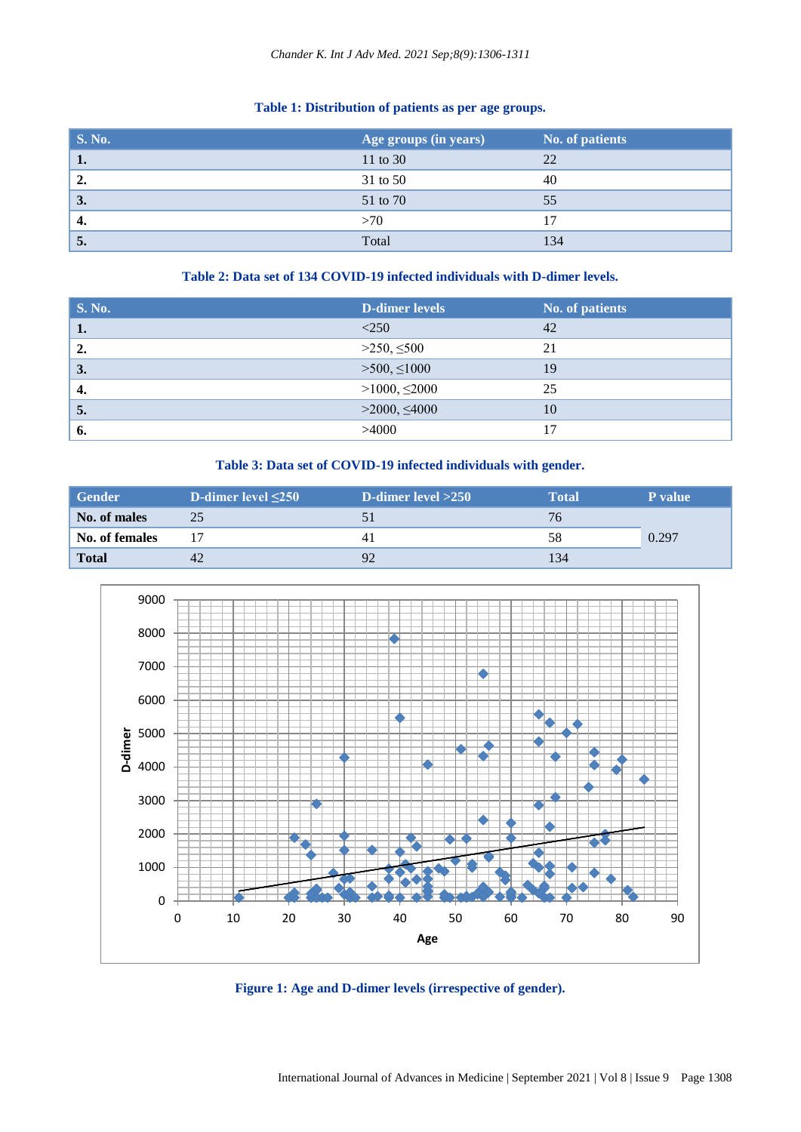## **Table 1: Distribution of patients as per age groups.**

| <b>S. No.</b> | Age groups (in years) | No. of patients |
|---------------|-----------------------|-----------------|
| 1.            | 11 to 30              | 22              |
| 2.            | 31 to 50              | 40              |
| 3.            | 51 to 70              | 55              |
| 4.            | >70                   | 17              |
| J.            | Total                 | 134             |

## **Table 2: Data set of 134 COVID-19 infected individuals with D-dimer levels.**

| <b>S. No.</b>    | <b>D-dimer levels</b> | <b>No. of patients</b> |
|------------------|-----------------------|------------------------|
| 1.               | $\leq$ 250            | 42                     |
| $\overline{2}$ . | $>250, \leq 500$      | 21                     |
| 3.               | $>500, \leq 1000$     | 19                     |
| $-4.$            | $>1000, \leq 2000$    | 25                     |
| 5.               | $>2000, \leq 4000$    | 10                     |
| 6.               | >4000                 | 17                     |

## **Table 3: Data set of COVID-19 infected individuals with gender.**

| <b>Gender</b>  | <b>D-dimer level</b> $\leq$ 250 | D-dimer level $>250$ | Total | P value |
|----------------|---------------------------------|----------------------|-------|---------|
| No. of males   | 25                              |                      |       |         |
| No. of females |                                 |                      |       | 0.297   |
| <b>Total</b>   | 42                              | 92                   | l 34  |         |



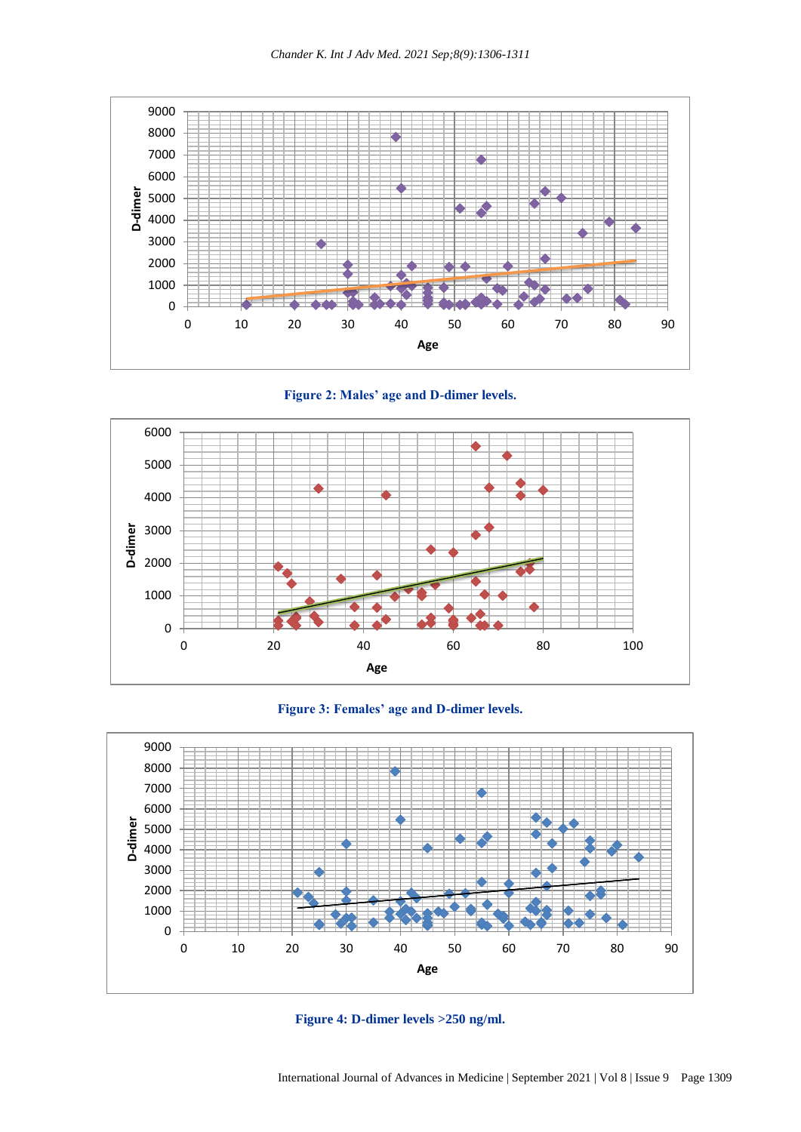





**Figure 3: Females' age and D-dimer levels.**



**Figure 4: D-dimer levels >250 ng/ml.**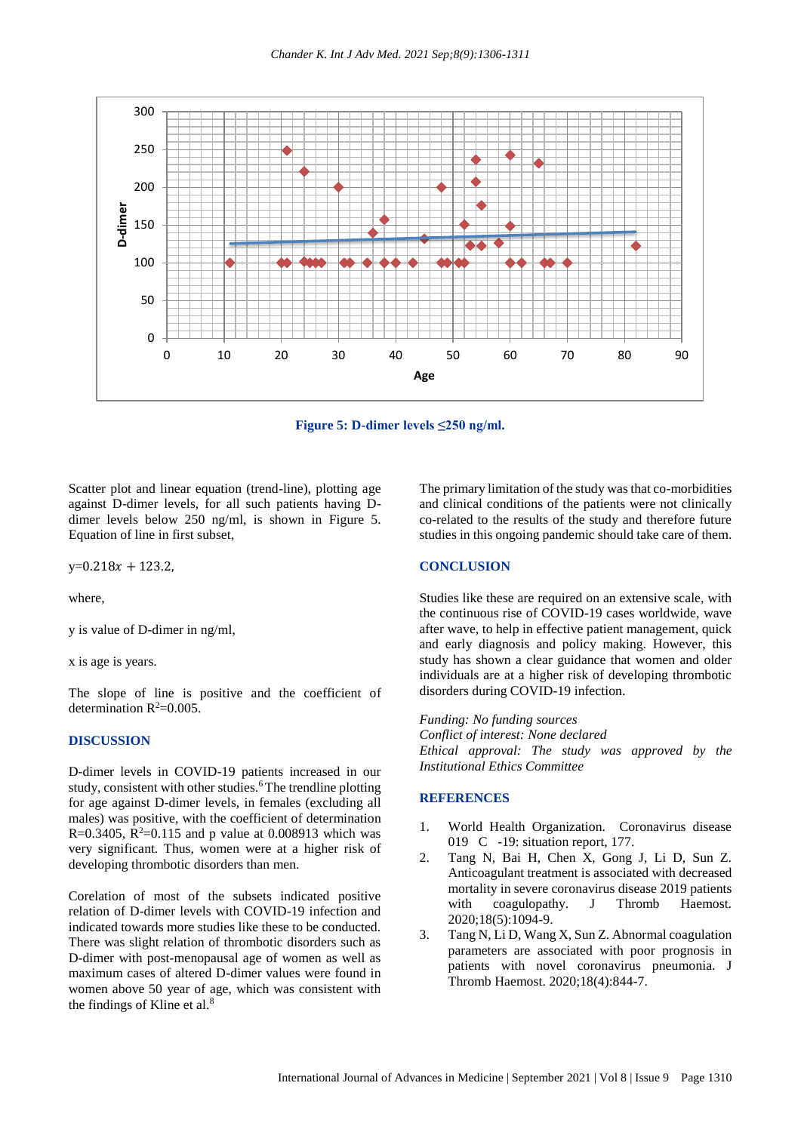

**Figure 5: D-dimer levels ≤250 ng/ml.**

Scatter plot and linear equation (trend-line), plotting age against D-dimer levels, for all such patients having Ddimer levels below 250 ng/ml, is shown in Figure 5. Equation of line in first subset,

 $y=0.218x + 123.2$ 

where,

y is value of D-dimer in ng/ml,

x is age is years.

The slope of line is positive and the coefficient of determination  $R^2=0.005$ .

#### **DISCUSSION**

D-dimer levels in COVID-19 patients increased in our study, consistent with other studies.<sup>6</sup>The trendline plotting for age against D-dimer levels, in females (excluding all males) was positive, with the coefficient of determination R=0.3405, R<sup>2</sup>=0.115 and p value at 0.008913 which was very significant. Thus, women were at a higher risk of developing thrombotic disorders than men.

Corelation of most of the subsets indicated positive relation of D-dimer levels with COVID-19 infection and indicated towards more studies like these to be conducted. There was slight relation of thrombotic disorders such as D-dimer with post-menopausal age of women as well as maximum cases of altered D-dimer values were found in women above 50 year of age, which was consistent with the findings of Kline et al.<sup>8</sup>

The primary limitation of the study was that co-morbidities and clinical conditions of the patients were not clinically co-related to the results of the study and therefore future studies in this ongoing pandemic should take care of them.

#### **CONCLUSION**

Studies like these are required on an extensive scale, with the continuous rise of COVID-19 cases worldwide, wave after wave, to help in effective patient management, quick and early diagnosis and policy making. However, this study has shown a clear guidance that women and older individuals are at a higher risk of developing thrombotic disorders during COVID-19 infection.

*Funding: No funding sources*

*Conflict of interest: None declared Ethical approval: The study was approved by the Institutional Ethics Committee*

#### **REFERENCES**

- 1. World Health Organization. Coronavirus disease 019 C -19: situation report, 177.
- 2. Tang N, Bai H, Chen X, Gong J, Li D, Sun Z. Anticoagulant treatment is associated with decreased mortality in severe coronavirus disease 2019 patients with coagulopathy. J Thromb Haemost. 2020;18(5):1094-9.
- 3. Tang N, Li D, Wang X, Sun Z. Abnormal coagulation parameters are associated with poor prognosis in patients with novel coronavirus pneumonia. J Thromb Haemost. 2020;18(4):844-7.